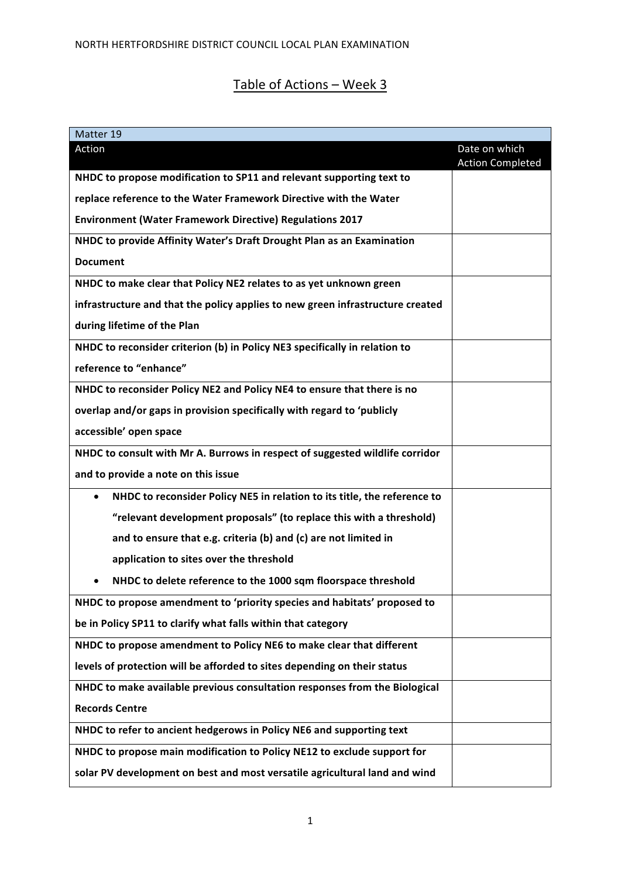# Table of Actions - Week 3

| Matter 19                                                                             |                                          |
|---------------------------------------------------------------------------------------|------------------------------------------|
| Action                                                                                | Date on which<br><b>Action Completed</b> |
| NHDC to propose modification to SP11 and relevant supporting text to                  |                                          |
| replace reference to the Water Framework Directive with the Water                     |                                          |
| <b>Environment (Water Framework Directive) Regulations 2017</b>                       |                                          |
| NHDC to provide Affinity Water's Draft Drought Plan as an Examination                 |                                          |
| <b>Document</b>                                                                       |                                          |
| NHDC to make clear that Policy NE2 relates to as yet unknown green                    |                                          |
| infrastructure and that the policy applies to new green infrastructure created        |                                          |
| during lifetime of the Plan                                                           |                                          |
| NHDC to reconsider criterion (b) in Policy NE3 specifically in relation to            |                                          |
| reference to "enhance"                                                                |                                          |
| NHDC to reconsider Policy NE2 and Policy NE4 to ensure that there is no               |                                          |
| overlap and/or gaps in provision specifically with regard to 'publicly                |                                          |
| accessible' open space                                                                |                                          |
| NHDC to consult with Mr A. Burrows in respect of suggested wildlife corridor          |                                          |
| and to provide a note on this issue                                                   |                                          |
| NHDC to reconsider Policy NE5 in relation to its title, the reference to<br>$\bullet$ |                                          |
| "relevant development proposals" (to replace this with a threshold)                   |                                          |
| and to ensure that e.g. criteria (b) and (c) are not limited in                       |                                          |
| application to sites over the threshold                                               |                                          |
| NHDC to delete reference to the 1000 sqm floorspace threshold                         |                                          |
| NHDC to propose amendment to 'priority species and habitats' proposed to              |                                          |
| be in Policy SP11 to clarify what falls within that category                          |                                          |
| NHDC to propose amendment to Policy NE6 to make clear that different                  |                                          |
| levels of protection will be afforded to sites depending on their status              |                                          |
| NHDC to make available previous consultation responses from the Biological            |                                          |
| <b>Records Centre</b>                                                                 |                                          |
| NHDC to refer to ancient hedgerows in Policy NE6 and supporting text                  |                                          |
| NHDC to propose main modification to Policy NE12 to exclude support for               |                                          |
| solar PV development on best and most versatile agricultural land and wind            |                                          |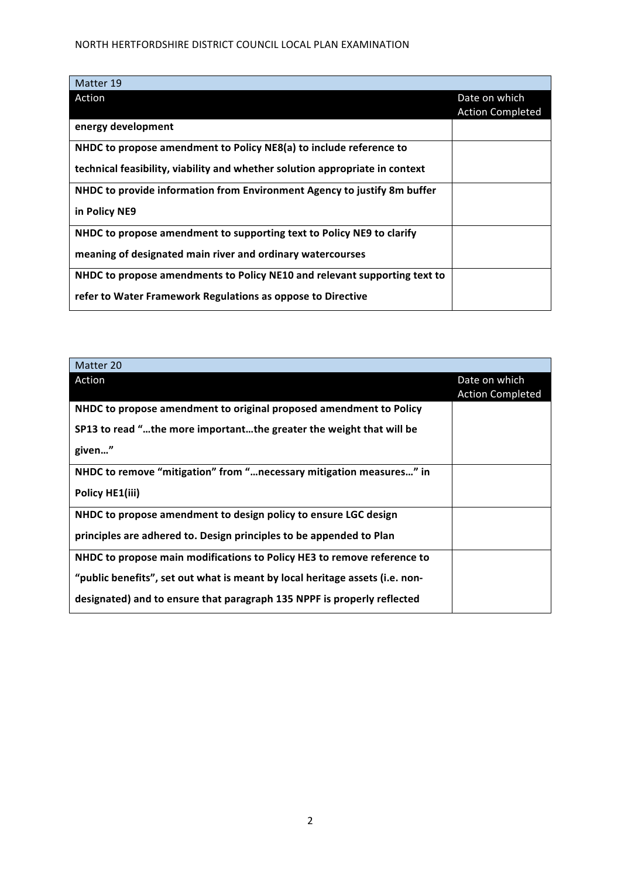| Matter 19                                                                    |                         |
|------------------------------------------------------------------------------|-------------------------|
| Action                                                                       | Date on which           |
|                                                                              | <b>Action Completed</b> |
| energy development                                                           |                         |
| NHDC to propose amendment to Policy NE8(a) to include reference to           |                         |
| technical feasibility, viability and whether solution appropriate in context |                         |
| NHDC to provide information from Environment Agency to justify 8m buffer     |                         |
| in Policy NE9                                                                |                         |
| NHDC to propose amendment to supporting text to Policy NE9 to clarify        |                         |
| meaning of designated main river and ordinary watercourses                   |                         |
| NHDC to propose amendments to Policy NE10 and relevant supporting text to    |                         |
| refer to Water Framework Regulations as oppose to Directive                  |                         |

| Matter 20                                                                    |                         |
|------------------------------------------------------------------------------|-------------------------|
| Action                                                                       | Date on which           |
|                                                                              | <b>Action Completed</b> |
| NHDC to propose amendment to original proposed amendment to Policy           |                         |
| SP13 to read "the more importantthe greater the weight that will be          |                         |
| given"                                                                       |                         |
| NHDC to remove "mitigation" from " necessary mitigation measures" in         |                         |
| Policy HE1(iii)                                                              |                         |
| NHDC to propose amendment to design policy to ensure LGC design              |                         |
| principles are adhered to. Design principles to be appended to Plan          |                         |
| NHDC to propose main modifications to Policy HE3 to remove reference to      |                         |
| "public benefits", set out what is meant by local heritage assets (i.e. non- |                         |
| designated) and to ensure that paragraph 135 NPPF is properly reflected      |                         |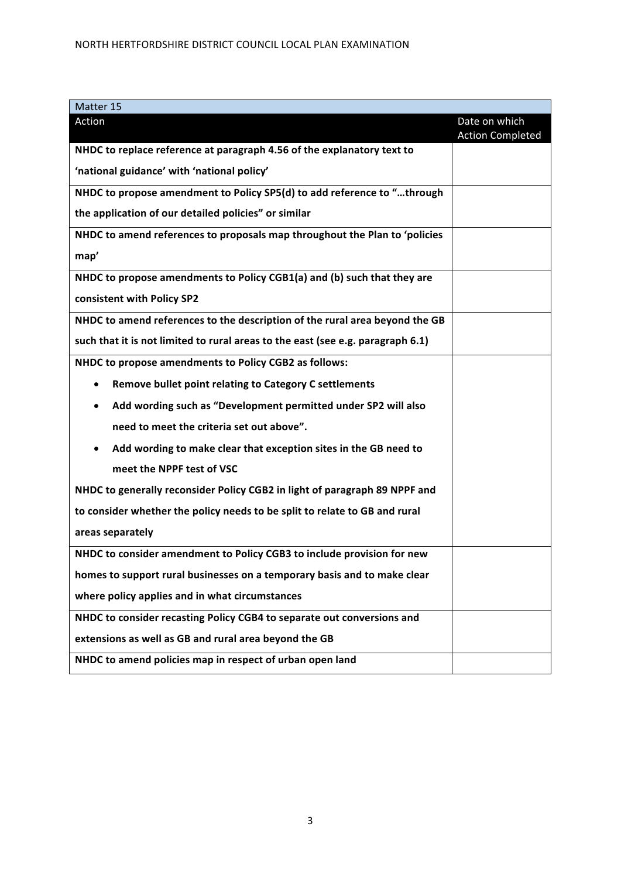| Matter 15                                                                       |                         |
|---------------------------------------------------------------------------------|-------------------------|
| Action                                                                          | Date on which           |
| NHDC to replace reference at paragraph 4.56 of the explanatory text to          | <b>Action Completed</b> |
| 'national guidance' with 'national policy'                                      |                         |
| NHDC to propose amendment to Policy SP5(d) to add reference to "through         |                         |
| the application of our detailed policies" or similar                            |                         |
| NHDC to amend references to proposals map throughout the Plan to 'policies      |                         |
| map'                                                                            |                         |
| NHDC to propose amendments to Policy CGB1(a) and (b) such that they are         |                         |
| consistent with Policy SP2                                                      |                         |
| NHDC to amend references to the description of the rural area beyond the GB     |                         |
| such that it is not limited to rural areas to the east (see e.g. paragraph 6.1) |                         |
| NHDC to propose amendments to Policy CGB2 as follows:                           |                         |
| Remove bullet point relating to Category C settlements<br>$\bullet$             |                         |
| Add wording such as "Development permitted under SP2 will also<br>$\bullet$     |                         |
| need to meet the criteria set out above".                                       |                         |
| Add wording to make clear that exception sites in the GB need to                |                         |
| meet the NPPF test of VSC                                                       |                         |
| NHDC to generally reconsider Policy CGB2 in light of paragraph 89 NPPF and      |                         |
| to consider whether the policy needs to be split to relate to GB and rural      |                         |
| areas separately                                                                |                         |
| NHDC to consider amendment to Policy CGB3 to include provision for new          |                         |
| homes to support rural businesses on a temporary basis and to make clear        |                         |
| where policy applies and in what circumstances                                  |                         |
| NHDC to consider recasting Policy CGB4 to separate out conversions and          |                         |
| extensions as well as GB and rural area beyond the GB                           |                         |
| NHDC to amend policies map in respect of urban open land                        |                         |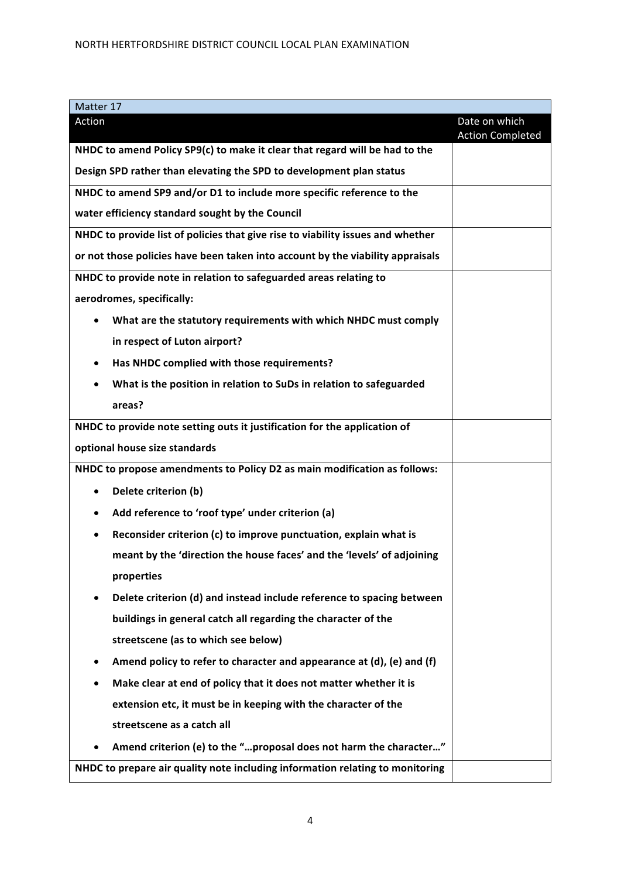| Action                                                                          | Date on which<br><b>Action Completed</b> |
|---------------------------------------------------------------------------------|------------------------------------------|
| NHDC to amend Policy SP9(c) to make it clear that regard will be had to the     |                                          |
| Design SPD rather than elevating the SPD to development plan status             |                                          |
| NHDC to amend SP9 and/or D1 to include more specific reference to the           |                                          |
| water efficiency standard sought by the Council                                 |                                          |
| NHDC to provide list of policies that give rise to viability issues and whether |                                          |
| or not those policies have been taken into account by the viability appraisals  |                                          |
| NHDC to provide note in relation to safeguarded areas relating to               |                                          |
| aerodromes, specifically:                                                       |                                          |
| What are the statutory requirements with which NHDC must comply<br>$\bullet$    |                                          |
| in respect of Luton airport?                                                    |                                          |
| Has NHDC complied with those requirements?                                      |                                          |
| What is the position in relation to SuDs in relation to safeguarded             |                                          |
| areas?                                                                          |                                          |
| NHDC to provide note setting outs it justification for the application of       |                                          |
| optional house size standards                                                   |                                          |
| NHDC to propose amendments to Policy D2 as main modification as follows:        |                                          |
| Delete criterion (b)                                                            |                                          |
| Add reference to 'roof type' under criterion (a)                                |                                          |
| Reconsider criterion (c) to improve punctuation, explain what is                |                                          |
| meant by the 'direction the house faces' and the 'levels' of adjoining          |                                          |
| properties                                                                      |                                          |
| Delete criterion (d) and instead include reference to spacing between           |                                          |
| buildings in general catch all regarding the character of the                   |                                          |
| streetscene (as to which see below)                                             |                                          |
| Amend policy to refer to character and appearance at (d), (e) and (f)           |                                          |
| Make clear at end of policy that it does not matter whether it is               |                                          |
| extension etc, it must be in keeping with the character of the                  |                                          |
| streetscene as a catch all                                                      |                                          |
| Amend criterion (e) to the "proposal does not harm the character"               |                                          |
| NHDC to prepare air quality note including information relating to monitoring   |                                          |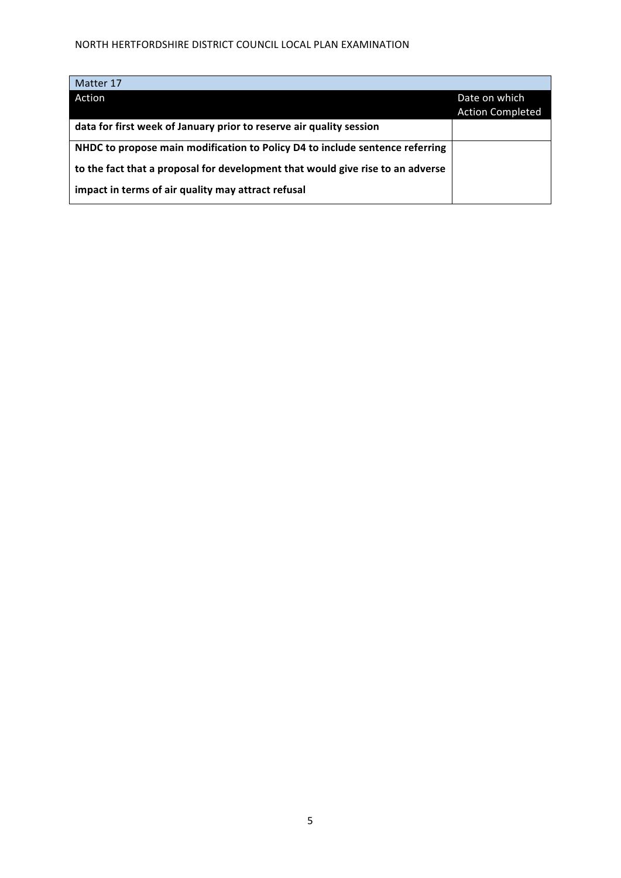| Matter 17                                                                      |                         |
|--------------------------------------------------------------------------------|-------------------------|
| Action                                                                         | Date on which           |
|                                                                                | <b>Action Completed</b> |
| data for first week of January prior to reserve air quality session            |                         |
| NHDC to propose main modification to Policy D4 to include sentence referring   |                         |
| to the fact that a proposal for development that would give rise to an adverse |                         |
| impact in terms of air quality may attract refusal                             |                         |